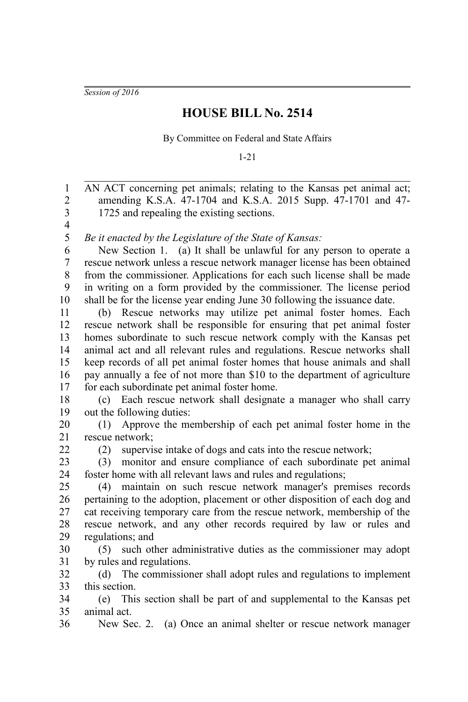*Session of 2016*

22

## **HOUSE BILL No. 2514**

By Committee on Federal and State Affairs

1-21

AN ACT concerning pet animals; relating to the Kansas pet animal act; amending K.S.A. 47-1704 and K.S.A. 2015 Supp. 47-1701 and 47- 1725 and repealing the existing sections. *Be it enacted by the Legislature of the State of Kansas:* 1 2 3 4 5

New Section 1. (a) It shall be unlawful for any person to operate a rescue network unless a rescue network manager license has been obtained from the commissioner. Applications for each such license shall be made in writing on a form provided by the commissioner. The license period shall be for the license year ending June 30 following the issuance date. 6 7 8 9 10

(b) Rescue networks may utilize pet animal foster homes. Each rescue network shall be responsible for ensuring that pet animal foster homes subordinate to such rescue network comply with the Kansas pet animal act and all relevant rules and regulations. Rescue networks shall keep records of all pet animal foster homes that house animals and shall pay annually a fee of not more than \$10 to the department of agriculture for each subordinate pet animal foster home. 11 12 13 14 15 16 17

(c) Each rescue network shall designate a manager who shall carry out the following duties: 18 19

(1) Approve the membership of each pet animal foster home in the rescue network; 20 21

(2) supervise intake of dogs and cats into the rescue network;

(3) monitor and ensure compliance of each subordinate pet animal foster home with all relevant laws and rules and regulations; 23 24

(4) maintain on such rescue network manager's premises records pertaining to the adoption, placement or other disposition of each dog and cat receiving temporary care from the rescue network, membership of the rescue network, and any other records required by law or rules and regulations; and 25 26 27 28 29

(5) such other administrative duties as the commissioner may adopt by rules and regulations. 30 31

(d) The commissioner shall adopt rules and regulations to implement this section. 32 33

(e) This section shall be part of and supplemental to the Kansas pet animal act. 34 35

New Sec. 2. (a) Once an animal shelter or rescue network manager 36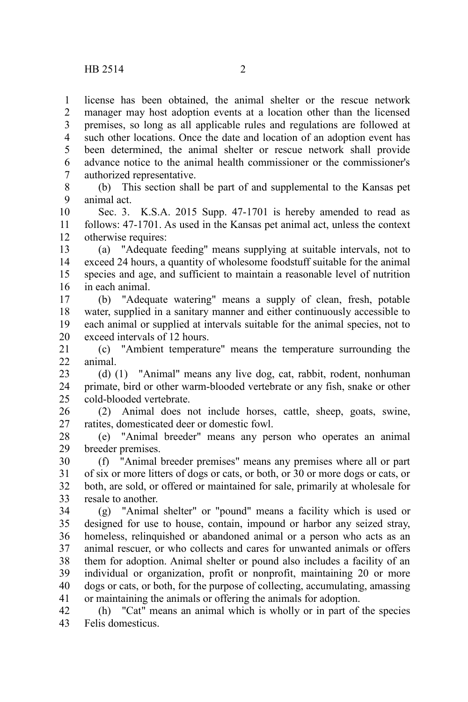license has been obtained, the animal shelter or the rescue network manager may host adoption events at a location other than the licensed premises, so long as all applicable rules and regulations are followed at such other locations. Once the date and location of an adoption event has been determined, the animal shelter or rescue network shall provide advance notice to the animal health commissioner or the commissioner's authorized representative. 1 2 3 4 5 6 7

(b) This section shall be part of and supplemental to the Kansas pet animal act. 8 9

Sec. 3. K.S.A. 2015 Supp. 47-1701 is hereby amended to read as follows: 47-1701. As used in the Kansas pet animal act, unless the context otherwise requires: 10 11 12

(a) "Adequate feeding" means supplying at suitable intervals, not to exceed 24 hours, a quantity of wholesome foodstuff suitable for the animal species and age, and sufficient to maintain a reasonable level of nutrition in each animal. 13 14 15 16

(b) "Adequate watering" means a supply of clean, fresh, potable water, supplied in a sanitary manner and either continuously accessible to each animal or supplied at intervals suitable for the animal species, not to exceed intervals of 12 hours. 17 18 19 20

(c) "Ambient temperature" means the temperature surrounding the animal. 21  $22$ 

(d) (1) "Animal" means any live dog, cat, rabbit, rodent, nonhuman primate, bird or other warm-blooded vertebrate or any fish, snake or other cold-blooded vertebrate. 23 24 25

(2) Animal does not include horses, cattle, sheep, goats, swine, ratites, domesticated deer or domestic fowl. 26 27

(e) "Animal breeder" means any person who operates an animal breeder premises. 28 29

(f) "Animal breeder premises" means any premises where all or part of six or more litters of dogs or cats, or both, or 30 or more dogs or cats, or both, are sold, or offered or maintained for sale, primarily at wholesale for resale to another. 30 31 32 33

(g) "Animal shelter" or "pound" means a facility which is used or designed for use to house, contain, impound or harbor any seized stray, homeless, relinquished or abandoned animal or a person who acts as an animal rescuer, or who collects and cares for unwanted animals or offers them for adoption. Animal shelter or pound also includes a facility of an individual or organization, profit or nonprofit, maintaining 20 or more dogs or cats, or both, for the purpose of collecting, accumulating, amassing or maintaining the animals or offering the animals for adoption. 34 35 36 37 38 39 40 41

(h) "Cat" means an animal which is wholly or in part of the species Felis domesticus. 42 43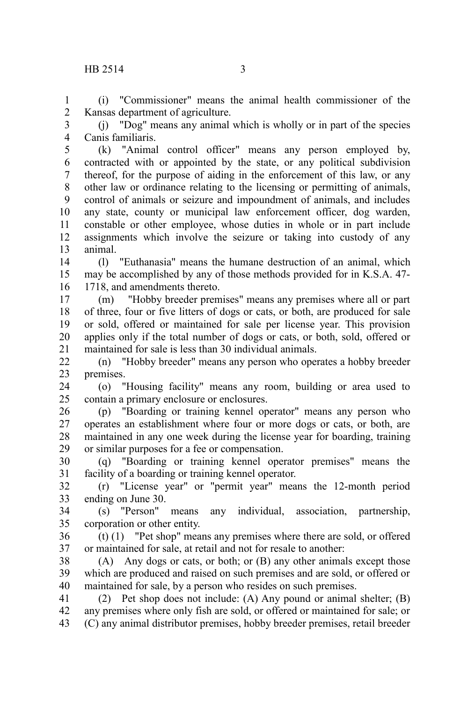## $HB 2514$  3

(i) "Commissioner" means the animal health commissioner of the Kansas department of agriculture. 1 2

(j) "Dog" means any animal which is wholly or in part of the species Canis familiaris. 3 4

(k) "Animal control officer" means any person employed by, contracted with or appointed by the state, or any political subdivision thereof, for the purpose of aiding in the enforcement of this law, or any other law or ordinance relating to the licensing or permitting of animals, control of animals or seizure and impoundment of animals, and includes any state, county or municipal law enforcement officer, dog warden, constable or other employee, whose duties in whole or in part include assignments which involve the seizure or taking into custody of any animal. 5 6 7 8 9 10 11 12 13

(l) "Euthanasia" means the humane destruction of an animal, which may be accomplished by any of those methods provided for in K.S.A. 47- 1718, and amendments thereto. 14 15 16

(m) "Hobby breeder premises" means any premises where all or part of three, four or five litters of dogs or cats, or both, are produced for sale or sold, offered or maintained for sale per license year. This provision applies only if the total number of dogs or cats, or both, sold, offered or maintained for sale is less than 30 individual animals. 17 18 19 20 21

(n) "Hobby breeder" means any person who operates a hobby breeder premises. 22 23

(o) "Housing facility" means any room, building or area used to contain a primary enclosure or enclosures. 24 25

(p) "Boarding or training kennel operator" means any person who operates an establishment where four or more dogs or cats, or both, are maintained in any one week during the license year for boarding, training or similar purposes for a fee or compensation. 26 27 28 29

(q) "Boarding or training kennel operator premises" means the facility of a boarding or training kennel operator. 30 31

(r) "License year" or "permit year" means the 12-month period ending on June 30. 32 33

(s) "Person" means any individual, association, partnership, corporation or other entity. 34 35

(t) (1) "Pet shop" means any premises where there are sold, or offered or maintained for sale, at retail and not for resale to another: 36 37

(A) Any dogs or cats, or both; or (B) any other animals except those which are produced and raised on such premises and are sold, or offered or maintained for sale, by a person who resides on such premises. 38 39 40

(2) Pet shop does not include: (A) Any pound or animal shelter; (B) any premises where only fish are sold, or offered or maintained for sale; or (C) any animal distributor premises, hobby breeder premises, retail breeder 41 42 43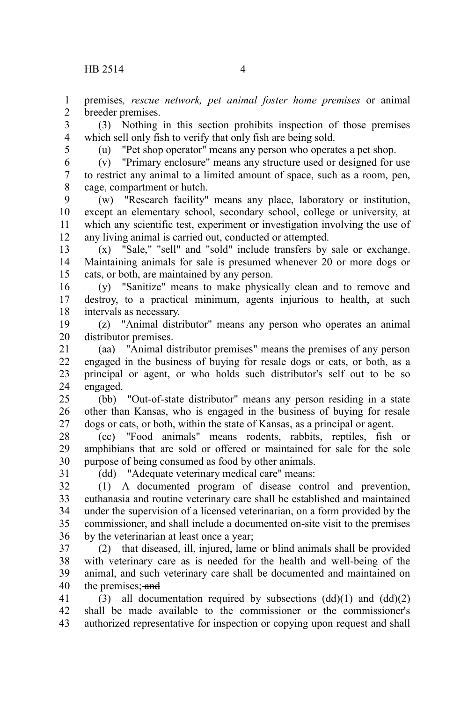premises*, rescue network, pet animal foster home premises* or animal breeder premises. 1 2

(3) Nothing in this section prohibits inspection of those premises which sell only fish to verify that only fish are being sold. 3 4

5

(u) "Pet shop operator" means any person who operates a pet shop.

(v) "Primary enclosure" means any structure used or designed for use to restrict any animal to a limited amount of space, such as a room, pen, cage, compartment or hutch. 6 7 8

(w) "Research facility" means any place, laboratory or institution, except an elementary school, secondary school, college or university, at which any scientific test, experiment or investigation involving the use of any living animal is carried out, conducted or attempted. 9 10 11 12

(x) "Sale," "sell" and "sold" include transfers by sale or exchange. Maintaining animals for sale is presumed whenever 20 or more dogs or cats, or both, are maintained by any person. 13 14 15

(y) "Sanitize" means to make physically clean and to remove and destroy, to a practical minimum, agents injurious to health, at such intervals as necessary. 16 17 18

(z) "Animal distributor" means any person who operates an animal distributor premises. 19 20

(aa) "Animal distributor premises" means the premises of any person engaged in the business of buying for resale dogs or cats, or both, as a principal or agent, or who holds such distributor's self out to be so engaged. 21 22 23 24

(bb) "Out-of-state distributor" means any person residing in a state other than Kansas, who is engaged in the business of buying for resale dogs or cats, or both, within the state of Kansas, as a principal or agent. 25 26 27

(cc) "Food animals" means rodents, rabbits, reptiles, fish or amphibians that are sold or offered or maintained for sale for the sole purpose of being consumed as food by other animals. 28 29 30

31

(dd) "Adequate veterinary medical care" means:

(1) A documented program of disease control and prevention, euthanasia and routine veterinary care shall be established and maintained under the supervision of a licensed veterinarian, on a form provided by the commissioner, and shall include a documented on-site visit to the premises by the veterinarian at least once a year; 32 33 34 35 36

(2) that diseased, ill, injured, lame or blind animals shall be provided with veterinary care as is needed for the health and well-being of the animal, and such veterinary care shall be documented and maintained on the premises; and 37 38 39 40

(3) all documentation required by subsections  $(dd)(1)$  and  $(dd)(2)$ shall be made available to the commissioner or the commissioner's authorized representative for inspection or copying upon request and shall 41 42 43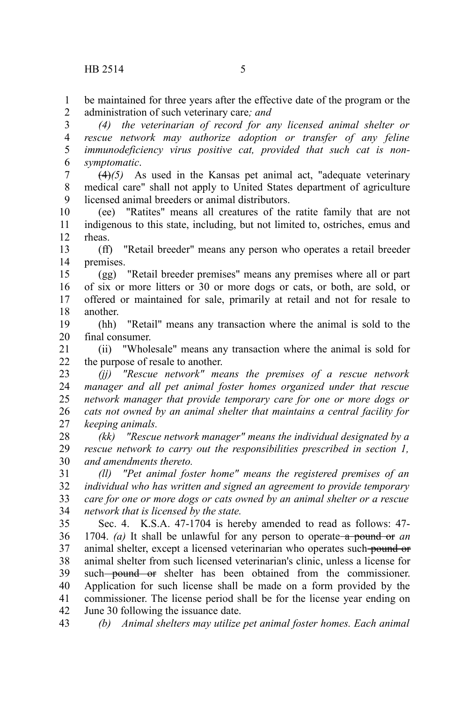be maintained for three years after the effective date of the program or the administration of such veterinary care*; and* 1 2

*(4) the veterinarian of record for any licensed animal shelter or rescue network may authorize adoption or transfer of any feline immunodeficiency virus positive cat, provided that such cat is nonsymptomatic*. 3 4 5 6

(4)*(5)* As used in the Kansas pet animal act, "adequate veterinary medical care" shall not apply to United States department of agriculture licensed animal breeders or animal distributors. 7 8 9

(ee) "Ratites" means all creatures of the ratite family that are not indigenous to this state, including, but not limited to, ostriches, emus and rheas. 10 11 12

(ff) "Retail breeder" means any person who operates a retail breeder premises. 13 14

(gg) "Retail breeder premises" means any premises where all or part of six or more litters or 30 or more dogs or cats, or both, are sold, or offered or maintained for sale, primarily at retail and not for resale to another. 15 16 17 18

(hh) "Retail" means any transaction where the animal is sold to the final consumer. 19 20

(ii) "Wholesale" means any transaction where the animal is sold for the purpose of resale to another. 21 22

*(jj) "Rescue network" means the premises of a rescue network manager and all pet animal foster homes organized under that rescue network manager that provide temporary care for one or more dogs or cats not owned by an animal shelter that maintains a central facility for keeping animals.* 23 24 25 26 27

*(kk) "Rescue network manager" means the individual designated by a rescue network to carry out the responsibilities prescribed in section 1, and amendments thereto.* 28 29 30

*(ll) "Pet animal foster home" means the registered premises of an individual who has written and signed an agreement to provide temporary care for one or more dogs or cats owned by an animal shelter or a rescue network that is licensed by the state.* 31 32 33 34

Sec. 4. K.S.A. 47-1704 is hereby amended to read as follows: 47- 1704. *(a)* It shall be unlawful for any person to operate a pound or *an* animal shelter, except a licensed veterinarian who operates such-pound or animal shelter from such licensed veterinarian's clinic, unless a license for such-pound or shelter has been obtained from the commissioner. Application for such license shall be made on a form provided by the commissioner. The license period shall be for the license year ending on June 30 following the issuance date. 35 36 37 38 39 40 41 42

*(b) Animal shelters may utilize pet animal foster homes. Each animal* 43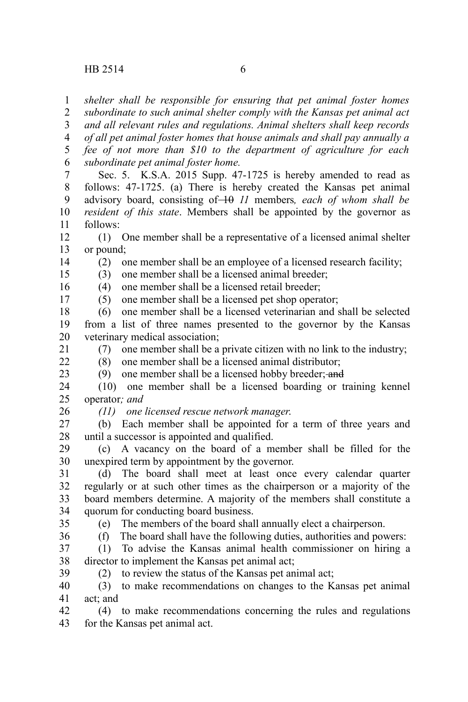1 2 *shelter shall be responsible for ensuring that pet animal foster homes subordinate to such animal shelter comply with the Kansas pet animal act*

*and all relevant rules and regulations. Animal shelters shall keep records of all pet animal foster homes that house animals and shall pay annually a fee of not more than \$10 to the department of agriculture for each subordinate pet animal foster home.* Sec. 5. K.S.A. 2015 Supp. 47-1725 is hereby amended to read as follows: 47-1725. (a) There is hereby created the Kansas pet animal advisory board, consisting of 10 *11* members*, each of whom shall be resident of this state*. Members shall be appointed by the governor as follows: (1) One member shall be a representative of a licensed animal shelter or pound; (2) one member shall be an employee of a licensed research facility; (3) one member shall be a licensed animal breeder; (4) one member shall be a licensed retail breeder; (5) one member shall be a licensed pet shop operator; (6) one member shall be a licensed veterinarian and shall be selected from a list of three names presented to the governor by the Kansas veterinary medical association; (7) one member shall be a private citizen with no link to the industry; (8) one member shall be a licensed animal distributor; (9) one member shall be a licensed hobby breeder; and (10) one member shall be a licensed boarding or training kennel operator*; and (11) one licensed rescue network manager*. (b) Each member shall be appointed for a term of three years and until a successor is appointed and qualified. (c) A vacancy on the board of a member shall be filled for the unexpired term by appointment by the governor. (d) The board shall meet at least once every calendar quarter regularly or at such other times as the chairperson or a majority of the board members determine. A majority of the members shall constitute a quorum for conducting board business. (e) The members of the board shall annually elect a chairperson. (f) The board shall have the following duties, authorities and powers: (1) To advise the Kansas animal health commissioner on hiring a director to implement the Kansas pet animal act; (2) to review the status of the Kansas pet animal act; (3) to make recommendations on changes to the Kansas pet animal act; and (4) to make recommendations concerning the rules and regulations for the Kansas pet animal act. 3 4 5 6 7 8 9 10 11 12 13 14 15 16 17 18 19 20 21  $22$ 23 24 25 26 27 28 29 30 31 32 33 34 35 36 37 38 39 40 41 42 43